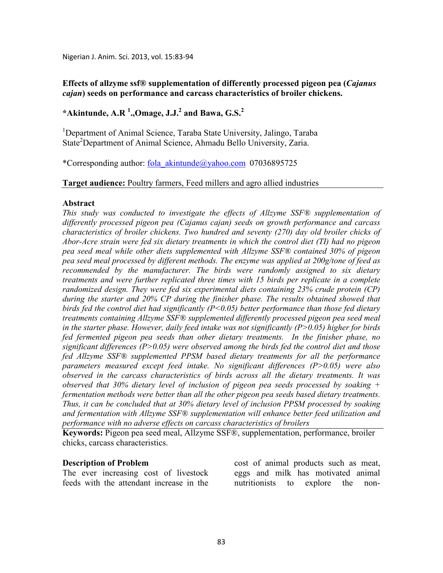Nigerian J. Anim. Sci. 2013, vol. 15:83-94

# **Effects of allzyme ssf® supplementation of differently processed pigeon pea (***Cajanus cajan***) seeds on performance and carcass characteristics of broiler chickens.**

# **\*Akintunde, A.R <sup>1</sup> .,Omage, J.J.<sup>2</sup> and Bawa, G.S.<sup>2</sup>**

<sup>1</sup>Department of Animal Science, Taraba State University, Jalingo, Taraba State<sup>2</sup>Department of Animal Science, Ahmadu Bello University, Zaria.

\*Corresponding author: fola\_akintunde@yahoo.com 07036895725

### **Target audience:** Poultry farmers, Feed millers and agro allied industries

### **Abstract**

*This study was conducted to investigate the effects of Allzyme SSF® supplementation of differently processed pigeon pea (Cajanus cajan) seeds on growth performance and carcass characteristics of broiler chickens. Two hundred and seventy (270) day old broiler chicks of Abor-Acre strain were fed six dietary treatments in which the control diet (TI) had no pigeon pea seed meal while other diets supplemented with Allzyme SSF® contained 30% of pigeon pea seed meal processed by different methods. The enzyme was applied at 200g/tone of feed as recommended by the manufacturer. The birds were randomly assigned to six dietary treatments and were further replicated three times with 15 birds per replicate in a complete randomized design. They were fed six experimental diets containing 23% crude protein (CP) during the starter and 20% CP during the finisher phase. The results obtained showed that birds fed the control diet had significantly (P<0.05) better performance than those fed dietary treatments containing Allzyme SSF® supplemented differently processed pigeon pea seed meal in the starter phase. However, daily feed intake was not significantly (P>0.05) higher for birds fed fermented pigeon pea seeds than other dietary treatments. In the finisher phase, no significant differences (P>0.05) were observed among the birds fed the control diet and those fed Allzyme SSF® supplemented PPSM based dietary treatments for all the performance parameters measured except feed intake. No significant differences (P>0.05) were also observed in the carcass characteristics of birds across all the dietary treatments. It was observed that 30% dietary level of inclusion of pigeon pea seeds processed by soaking + fermentation methods were better than all the other pigeon pea seeds based dietary treatments. Thus, it can be concluded that at 30% dietary level of inclusion PPSM processed by soaking and fermentation with Allzyme SSF® supplementation will enhance better feed utilization and performance with no adverse effects on carcass characteristics of broilers* 

**Keywords:** Pigeon pea seed meal, Allzyme SSF®, supplementation, performance, broiler chicks, carcass characteristics.

### **Description of Problem**

The ever increasing cost of livestock feeds with the attendant increase in the

cost of animal products such as meat, eggs and milk has motivated animal nutritionists to explore the non-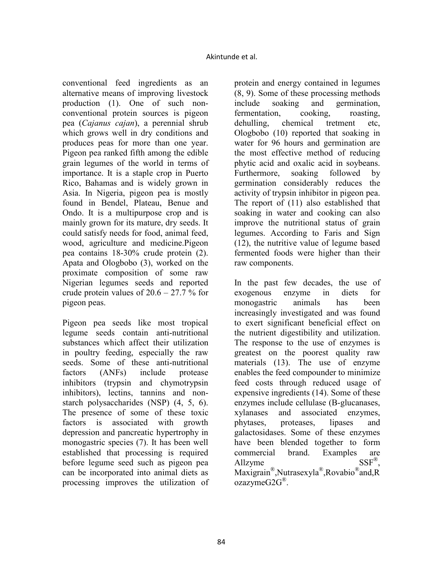conventional feed ingredients as an alternative means of improving livestock production (1). One of such nonconventional protein sources is pigeon pea (*Cajanus cajan*), a perennial shrub which grows well in dry conditions and produces peas for more than one year. Pigeon pea ranked fifth among the edible grain legumes of the world in terms of importance. It is a staple crop in Puerto Rico, Bahamas and is widely grown in Asia. In Nigeria, pigeon pea is mostly found in Bendel, Plateau, Benue and Ondo. It is a multipurpose crop and is mainly grown for its mature, dry seeds. It could satisfy needs for food, animal feed, wood, agriculture and medicine.Pigeon pea contains 18-30% crude protein (2). Apata and Ologbobo (3), worked on the proximate composition of some raw Nigerian legumes seeds and reported crude protein values of  $20.6 - 27.7$  % for pigeon peas.

Pigeon pea seeds like most tropical legume seeds contain anti-nutritional substances which affect their utilization in poultry feeding, especially the raw seeds. Some of these anti-nutritional factors (ANFs) include protease inhibitors (trypsin and chymotrypsin inhibitors), lectins, tannins and nonstarch polysaccharides (NSP) (4, 5, 6). The presence of some of these toxic factors is associated with growth depression and pancreatic hypertrophy in monogastric species (7). It has been well established that processing is required before legume seed such as pigeon pea can be incorporated into animal diets as processing improves the utilization of protein and energy contained in legumes (8, 9). Some of these processing methods include soaking and germination, fermentation, cooking, roasting, dehulling, chemical tretment etc, Ologbobo (10) reported that soaking in water for 96 hours and germination are the most effective method of reducing phytic acid and oxalic acid in soybeans. Furthermore, soaking followed by germination considerably reduces the activity of trypsin inhibitor in pigeon pea. The report of (11) also established that soaking in water and cooking can also improve the nutritional status of grain legumes. According to Faris and Sign (12), the nutritive value of legume based fermented foods were higher than their raw components.

In the past few decades, the use of exogenous enzyme in diets for monogastric animals has been increasingly investigated and was found to exert significant beneficial effect on the nutrient digestibility and utilization. The response to the use of enzymes is greatest on the poorest quality raw materials (13). The use of enzyme enables the feed compounder to minimize feed costs through reduced usage of expensive ingredients (14). Some of these enzymes include cellulase (B-glucanases, xylanases and associated enzymes, phytases, proteases, lipases and galactosidases. Some of these enzymes have been blended together to form commercial brand. Examples are Allzyme  $SSF^{\circledR}$ . Maxigrain® ,Nutrasexyla® ,Rovabio® and,R ozazymeG2G® .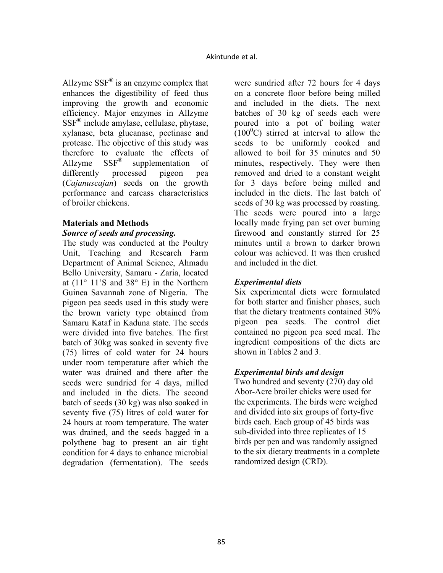Allzyme  $SSF^{\circledast}$  is an enzyme complex that enhances the digestibility of feed thus improving the growth and economic efficiency. Major enzymes in Allzyme SSF® include amylase, cellulase, phytase, xylanase, beta glucanase, pectinase and protease. The objective of this study was therefore to evaluate the effects of Allzyme SSF® supplementation of differently processed pigeon pea (*Cajanuscajan*) seeds on the growth performance and carcass characteristics of broiler chickens.

# **Materials and Methods**

### *Source of seeds and processing.*

The study was conducted at the Poultry Unit, Teaching and Research Farm Department of Animal Science, Ahmadu Bello University, Samaru - Zaria, located at  $(11^{\circ} 11^{\circ} S$  and  $38^{\circ} E$ ) in the Northern Guinea Savannah zone of Nigeria. The pigeon pea seeds used in this study were the brown variety type obtained from Samaru Kataf in Kaduna state. The seeds were divided into five batches. The first batch of 30kg was soaked in seventy five (75) litres of cold water for 24 hours under room temperature after which the water was drained and there after the seeds were sundried for 4 days, milled and included in the diets. The second batch of seeds (30 kg) was also soaked in seventy five (75) litres of cold water for 24 hours at room temperature. The water was drained, and the seeds bagged in a polythene bag to present an air tight condition for 4 days to enhance microbial degradation (fermentation). The seeds

were sundried after 72 hours for 4 days on a concrete floor before being milled and included in the diets. The next batches of 30 kg of seeds each were poured into a pot of boiling water  $(100^0C)$  stirred at interval to allow the seeds to be uniformly cooked and allowed to boil for 35 minutes and 50 minutes, respectively. They were then removed and dried to a constant weight for 3 days before being milled and included in the diets. The last batch of seeds of 30 kg was processed by roasting. The seeds were poured into a large locally made frying pan set over burning firewood and constantly stirred for 25 minutes until a brown to darker brown colour was achieved. It was then crushed and included in the diet.

# *Experimental diets*

Six experimental diets were formulated for both starter and finisher phases, such that the dietary treatments contained 30% pigeon pea seeds. The control diet contained no pigeon pea seed meal. The ingredient compositions of the diets are shown in Tables 2 and 3.

# *Experimental birds and design*

Two hundred and seventy (270) day old Abor-Acre broiler chicks were used for the experiments. The birds were weighed and divided into six groups of forty-five birds each. Each group of 45 birds was sub-divided into three replicates of 15 birds per pen and was randomly assigned to the six dietary treatments in a complete randomized design (CRD).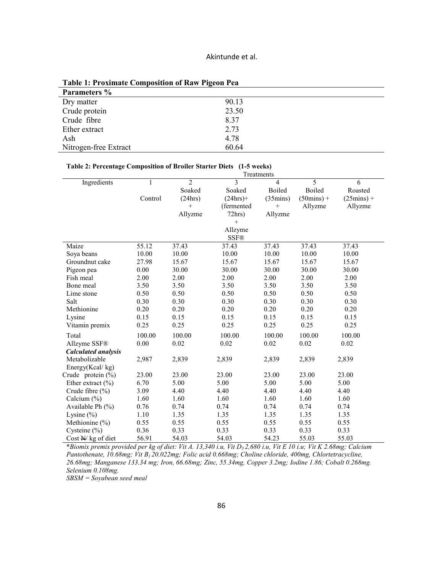| Tuble 1: 1 Featurally Composition of Raw Tigeon I ca |       |
|------------------------------------------------------|-------|
| Parameters %                                         |       |
| Dry matter                                           | 90.13 |
| Crude protein                                        | 23.50 |
| Crude fibre                                          | 8.37  |
| Ether extract                                        | 2.73  |
| Ash                                                  | 4.78  |
| Nitrogen-free Extract                                | 60.64 |

**Table 1: Proximate Composition of Raw Pigeon Pea** 

|  | Table 2: Percentage Composition of Broiler Starter Diets (1-5 weeks) |  |
|--|----------------------------------------------------------------------|--|
|  |                                                                      |  |

|                            | Treatments   |                |             |               |                      |                      |  |  |
|----------------------------|--------------|----------------|-------------|---------------|----------------------|----------------------|--|--|
| Ingredients                | $\mathbf{1}$ | $\mathfrak{D}$ | 3           | 4             | 5                    | 6                    |  |  |
|                            |              | Soaked         | Soaked      | <b>Boiled</b> | Boiled               | Roasted              |  |  |
|                            | Control      | (24hrs)        | $(24hrs)$ + | (35)          | $(50 \text{mins}) +$ | $(25 \text{mins}) +$ |  |  |
|                            |              | $+$            | (fermented  | $^{+}$        | Allyzme              | Allyzme              |  |  |
|                            |              | Allyzme        | 72hrs)      | Allyzme       |                      |                      |  |  |
|                            |              |                | $^{+}$      |               |                      |                      |  |  |
|                            |              |                | Allzyme     |               |                      |                      |  |  |
|                            |              |                | <b>SSF®</b> |               |                      |                      |  |  |
| Maize                      | 55.12        | 37.43          | 37.43       | 37.43         | 37.43                | 37.43                |  |  |
| Soya beans                 | 10.00        | 10.00          | 10.00       | 10.00         | 10.00                | 10.00                |  |  |
| Groundnut cake             | 27.98        | 15.67          | 15.67       | 15.67         | 15.67                | 15.67                |  |  |
| Pigeon pea                 | 0.00         | 30.00          | 30.00       | 30.00         | 30.00                | 30.00                |  |  |
| Fish meal                  | 2.00         | 2.00           | 2.00        | 2.00          | 2.00                 | 2.00                 |  |  |
| Bone meal                  | 3.50         | 3.50           | 3.50        | 3.50          | 3.50                 | 3.50                 |  |  |
| Lime stone                 | 0.50         | 0.50           | 0.50        | 0.50          | 0.50                 | 0.50                 |  |  |
| Salt                       | 0.30         | 0.30           | 0.30        | 0.30          | 0.30                 | 0.30                 |  |  |
| Methionine                 | 0.20         | 0.20           | 0.20        | 0.20          | 0.20                 | 0.20                 |  |  |
| Lysine                     | 0.15         | 0.15           | 0.15        | 0.15          | 0.15                 | 0.15                 |  |  |
| Vitamin premix             | 0.25         | 0.25           | 0.25        | 0.25          | 0.25                 | 0.25                 |  |  |
| Total                      | 100.00       | 100.00         | 100.00      | 100.00        | 100.00               | 100.00               |  |  |
| Allzyme SSF®               | 0.00         | 0.02           | 0.02        | 0.02          | 0.02                 | 0.02                 |  |  |
| <b>Calculated analysis</b> |              |                |             |               |                      |                      |  |  |
| Metabolizable              | 2,987        | 2,839          | 2,839       | 2,839         | 2,839                | 2,839                |  |  |
| Energy(Kcal/kg)            |              |                |             |               |                      |                      |  |  |
| Crude protein $(\%)$       | 23.00        | 23.00          | 23.00       | 23.00         | 23.00                | 23.00                |  |  |
| Ether extract $(\% )$      | 6.70         | 5.00           | 5.00        | 5.00          | 5.00                 | 5.00                 |  |  |
| Crude fibre (%)            | 3.09         | 4.40           | 4.40        | 4.40          | 4.40                 | 4.40                 |  |  |
| Calcium $(\%)$             | 1.60         | 1.60           | 1.60        | 1.60          | 1.60                 | 1.60                 |  |  |
| Available Ph (%)           | 0.76         | 0.74           | 0.74        | 0.74          | 0.74                 | 0.74                 |  |  |
| Lysine $(\% )$             | 1.10         | 1.35           | 1.35        | 1.35          | 1.35                 | 1.35                 |  |  |
| Methionine (%)             | 0.55         | 0.55           | 0.55        | 0.55          | 0.55                 | 0.55                 |  |  |
| Cysteine $(\% )$           | 0.36         | 0.33           | 0.33        | 0.33          | 0.33                 | 0.33                 |  |  |
| Cost $N$ kg of diet        | 56.91        | 54.03          | 54.03       | 54.23         | 55.03                | 55.03                |  |  |

\**Biomix premix provided per kg of diet: Vit A. 13,340 i.u, Vit D3 2,680 i.u, Vit E 10 i.u; Vit K 2.68mg; Calcium Pantothenate, 10.68mg; Vit B1 20.022mg; Folic acid 0.668mg; Choline chloride, 400mg, Chlortetracycline, 26.68mg; Manganese 133.34 mg; Iron, 66.68mg; Zinc, 55.34mg, Copper 3.2mg; Iodine 1.86; Cobalt 0.268mg. Selenium 0.108mg.* 

*SBSM = Soyabean seed meal*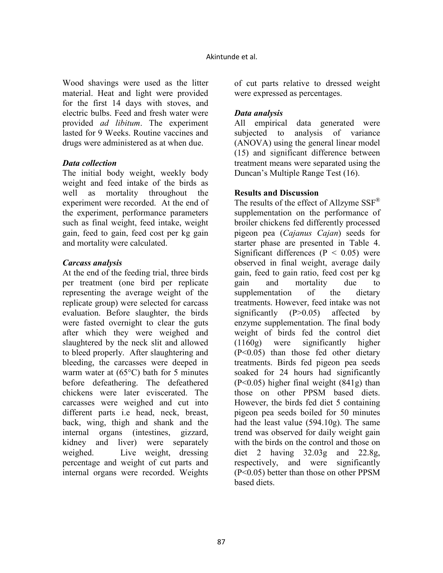Wood shavings were used as the litter material. Heat and light were provided for the first 14 days with stoves, and electric bulbs. Feed and fresh water were provided *ad libitum*. The experiment lasted for 9 Weeks. Routine vaccines and drugs were administered as at when due.

### *Data collection*

The initial body weight, weekly body weight and feed intake of the birds as well as mortality throughout the experiment were recorded. At the end of the experiment, performance parameters such as final weight, feed intake, weight gain, feed to gain, feed cost per kg gain and mortality were calculated.

### *Carcass analysis*

At the end of the feeding trial, three birds per treatment (one bird per replicate representing the average weight of the replicate group) were selected for carcass evaluation. Before slaughter, the birds were fasted overnight to clear the guts after which they were weighed and slaughtered by the neck slit and allowed to bleed properly. After slaughtering and bleeding, the carcasses were deeped in warm water at (65°C) bath for 5 minutes before defeathering. The defeathered chickens were later eviscerated. The carcasses were weighed and cut into different parts i.e head, neck, breast, back, wing, thigh and shank and the internal organs (intestines, gizzard, kidney and liver) were separately weighed. Live weight, dressing percentage and weight of cut parts and internal organs were recorded. Weights

of cut parts relative to dressed weight were expressed as percentages.

# *Data analysis*

All empirical data generated were subjected to analysis of variance (ANOVA) using the general linear model (15) and significant difference between treatment means were separated using the Duncan's Multiple Range Test (16).

### **Results and Discussion**

The results of the effect of Allzyme SSF<sup>®</sup> supplementation on the performance of broiler chickens fed differently processed pigeon pea (*Cajanus Cajan*) seeds for starter phase are presented in Table 4. Significant differences ( $P < 0.05$ ) were observed in final weight, average daily gain, feed to gain ratio, feed cost per kg gain and mortality due to supplementation of the dietary treatments. However, feed intake was not significantly  $(P>0.05)$  affected by enzyme supplementation. The final body weight of birds fed the control diet (1160g) were significantly higher (P<0.05) than those fed other dietary treatments. Birds fed pigeon pea seeds soaked for 24 hours had significantly (P<0.05) higher final weight (841g) than those on other PPSM based diets. However, the birds fed diet 5 containing pigeon pea seeds boiled for 50 minutes had the least value (594.10g). The same trend was observed for daily weight gain with the birds on the control and those on diet 2 having 32.03g and 22.8g, respectively, and were significantly (P<0.05) better than those on other PPSM based diets.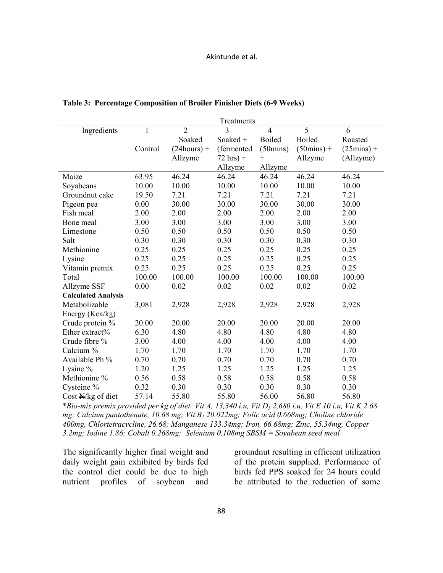| Treatments                 |         |                |                      |                    |                      |                      |
|----------------------------|---------|----------------|----------------------|--------------------|----------------------|----------------------|
| Ingredients                | 1       | $\overline{2}$ | 3                    | $\overline{4}$     | 5                    | 6                    |
|                            |         | Soaked         | Soaked +             | <b>Boiled</b>      | <b>Boiled</b>        | Roasted              |
|                            | Control | $(24 hours) +$ | (fermented           | $(50 \text{mins})$ | $(50 \text{mins}) +$ | $(25 \text{mins}) +$ |
|                            |         | Allzyme        | $72 \text{ hrs}$ ) + | $^{+}$             | Allzyme              | (Allzyme)            |
|                            |         |                | Allzyme              | Allzyme            |                      |                      |
| Maize                      | 63.95   | 46.24          | 46.24                | 46.24              | 46.24                | 46.24                |
| Soyabeans                  | 10.00   | 10.00          | 10.00                | 10.00              | 10.00                | 10.00                |
| Groundnut cake             | 19.50   | 7.21           | 7.21                 | 7.21               | 7.21                 | 7.21                 |
| Pigeon pea                 | 0.00    | 30.00          | 30.00                | 30.00              | 30.00                | 30.00                |
| Fish meal                  | 2.00    | 2.00           | 2.00                 | 2.00               | 2.00                 | 2.00                 |
| Bone meal                  | 3.00    | 3.00           | 3.00                 | 3.00               | 3.00                 | 3.00                 |
| Limestone                  | 0.50    | 0.50           | 0.50                 | 0.50               | 0.50                 | 0.50                 |
| Salt                       | 0.30    | 0.30           | 0.30                 | 0.30               | 0.30                 | 0.30                 |
| Methionine                 | 0.25    | 0.25           | 0.25                 | 0.25               | 0.25                 | 0.25                 |
| Lysine                     | 0.25    | 0.25           | 0.25                 | 0.25               | 0.25                 | 0.25                 |
| Vitamin premix             | 0.25    | 0.25           | 0.25                 | 0.25               | 0.25                 | 0.25                 |
| Total                      | 100.00  | 100.00         | 100.00               | 100.00             | 100.00               | 100.00               |
| Allzyme SSF                | 0.00    | 0.02           | 0.02                 | 0.02               | 0.02                 | 0.02                 |
| <b>Calculated Analysis</b> |         |                |                      |                    |                      |                      |
| Metabolizable              | 3,081   | 2,928          | 2,928                | 2,928              | 2,928                | 2,928                |
| Energy (Kca/kg)            |         |                |                      |                    |                      |                      |
| Crude protein %            | 20.00   | 20.00          | 20.00                | 20.00              | 20.00                | 20.00                |
| Ether extract%             | 6.30    | 4.80           | 4.80                 | 4.80               | 4.80                 | 4.80                 |
| Crude fibre %              | 3.00    | 4.00           | 4.00                 | 4.00               | 4.00                 | 4.00                 |
| Calcium %                  | 1.70    | 1.70           | 1.70                 | 1.70               | 1.70                 | 1.70                 |
| Available Ph %             | 0.70    | 0.70           | 0.70                 | 0.70               | 0.70                 | 0.70                 |
| Lysine %                   | 1.20    | 1.25           | 1.25                 | 1.25               | 1.25                 | 1.25                 |
| Methionine %               | 0.56    | 0.58           | 0.58                 | 0.58               | 0.58                 | 0.58                 |
| Cysteine %                 | 0.32    | 0.30           | 0.30                 | 0.30               | 0.30                 | 0.30                 |
| Cost $N/kg$ of diet        | 57.14   | 55.80          | 55.80                | 56.00              | 56.80                | 56.80                |

#### **Table 3: Percentage Composition of Broiler Finisher Diets (6-9 Weeks)**

\**Bio-mix premix provided per kg of diet: Vit A, 13,340 i.u, Vit D3 2,680 i.u, Vit E 10 i.u, Vit K 2.68 mg; Calcium pantothenate, 10.68 mg; Vit B1 20.022mg; Folic acid 0.668mg; Choline chloride 400mg, Chlortetracycline, 26.68; Manganese 133.34mg; Iron, 66.68mg; Zinc, 55.34mg, Copper 3.2mg; Iodine 1.86; Cobalt 0.268mg; Selenium 0.108mg SBSM = Soyabean seed meal* 

The significantly higher final weight and daily weight gain exhibited by birds fed the control diet could be due to high nutrient profiles of soybean and

groundnut resulting in efficient utilization of the protein supplied. Performance of birds fed PPS soaked for 24 hours could be attributed to the reduction of some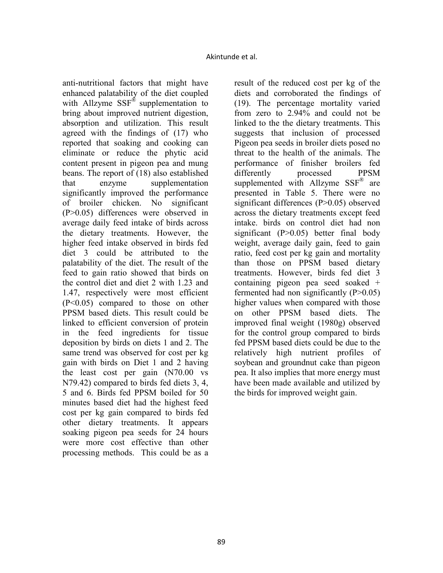anti-nutritional factors that might have enhanced palatability of the diet coupled with Allzyme  $SSF^{\&}$  supplementation to bring about improved nutrient digestion, absorption and utilization. This result agreed with the findings of (17) who reported that soaking and cooking can eliminate or reduce the phytic acid content present in pigeon pea and mung beans. The report of (18) also established that enzyme supplementation significantly improved the performance of broiler chicken. No significant (P>0.05) differences were observed in average daily feed intake of birds across the dietary treatments. However, the higher feed intake observed in birds fed diet 3 could be attributed to the palatability of the diet. The result of the feed to gain ratio showed that birds on the control diet and diet 2 with 1.23 and 1.47, respectively were most efficient (P<0.05) compared to those on other PPSM based diets. This result could be linked to efficient conversion of protein in the feed ingredients for tissue deposition by birds on diets 1 and 2. The same trend was observed for cost per kg gain with birds on Diet 1 and 2 having the least cost per gain (N70.00 vs N79.42) compared to birds fed diets 3, 4, 5 and 6. Birds fed PPSM boiled for 50 minutes based diet had the highest feed cost per kg gain compared to birds fed other dietary treatments. It appears soaking pigeon pea seeds for 24 hours were more cost effective than other processing methods. This could be as a

result of the reduced cost per kg of the diets and corroborated the findings of (19). The percentage mortality varied from zero to 2.94% and could not be linked to the the dietary treatments. This suggests that inclusion of processed Pigeon pea seeds in broiler diets posed no threat to the health of the animals. The performance of finisher broilers fed differently processed PPSM supplemented with Allzyme  $SSF^{\circledast}$  are presented in Table 5. There were no significant differences (P>0.05) observed across the dietary treatments except feed intake. birds on control diet had non significant (P>0.05) better final body weight, average daily gain, feed to gain ratio, feed cost per kg gain and mortality than those on PPSM based dietary treatments. However, birds fed diet 3 containing pigeon pea seed soaked + fermented had non significantly  $(P>0.05)$ higher values when compared with those on other PPSM based diets. The improved final weight (1980g) observed for the control group compared to birds fed PPSM based diets could be due to the relatively high nutrient profiles of soybean and groundnut cake than pigeon pea. It also implies that more energy must have been made available and utilized by the birds for improved weight gain.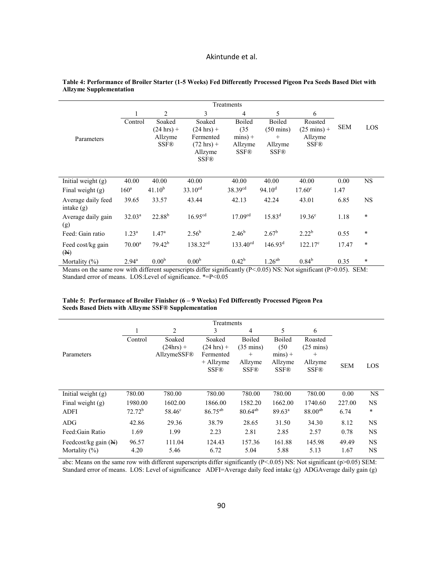|                                    |                    |                        |                                                             | Treatments                          |                                  |                                  |            |           |
|------------------------------------|--------------------|------------------------|-------------------------------------------------------------|-------------------------------------|----------------------------------|----------------------------------|------------|-----------|
|                                    |                    | $\overline{2}$         | 3                                                           | 4                                   | 5                                | 6                                |            |           |
|                                    | Control            | Soaked<br>$(24 hrs) +$ | Soaked<br>$(24 \text{ hrs}) +$                              | Boiled<br>(35)                      | Boiled<br>$(50 \text{ mins})$    | Roasted<br>$(25 \text{ mins}) +$ | <b>SEM</b> | LOS       |
| Parameters                         |                    | Allzyme<br><b>SSF®</b> | Fermented<br>$(72 \text{ hrs}) +$<br>Allzyme<br><b>SSF®</b> | $mins) +$<br>Allzyme<br><b>SSF®</b> | $^{+}$<br>Allzyme<br><b>SSF®</b> | Allzyme<br><b>SSF®</b>           |            |           |
| Initial weight (g)                 | 40.00              | 40.00                  | 40.00                                                       | 40.00                               | 40.00                            | 40.00                            | 0.00       | <b>NS</b> |
| Final weight $(g)$                 | 160 <sup>a</sup>   | $41.10^{b}$            | $33.10^{cd}$                                                | 38.39 <sup>cd</sup>                 | 94.10 <sup>d</sup>               | $17.60^{\circ}$                  | 1.47       |           |
| Average daily feed<br>intake $(g)$ | 39.65              | 33.57                  | 43.44                                                       | 42.13                               | 42.24                            | 43.01                            | 6.85       | <b>NS</b> |
| Average daily gain<br>(g)          | $32.03^{\rm a}$    | 22.88 <sup>b</sup>     | 16.95 <sup>cd</sup>                                         | 17.09 <sup>cd</sup>                 | $15.83^{d}$                      | $19.36^{\circ}$                  | 1.18       | $\ast$    |
| Feed: Gain ratio                   | $1.23^a$           | $1.47^{\rm a}$         | $2.56^{b}$                                                  | $2.46^{b}$                          | $2.67^{b}$                       | $2.22^{b}$                       | 0.55       | $\ast$    |
| Feed cost/kg gain<br>(M)           | $70.00^{\text{a}}$ | $79.42^{b}$            | 138.32 <sup>cd</sup>                                        | $133.40^{cd}$                       | 146.93 <sup>d</sup>              | $122.17^{\circ}$                 | 17.47      | $\ast$    |
| Mortality $(\%)$                   | $2.94^{\text{a}}$  | 0.00 <sup>b</sup>      | 0.00 <sup>b</sup>                                           | $0.42^{b}$                          | $1.26^{ab}$                      | $0.84^{b}$                       | 0.35       | $\ast$    |

#### **Table 4: Performance of Broiler Starter (1-5 Weeks) Fed Differently Processed Pigeon Pea Seeds Based Diet with Allzyme Supplementation**

Means on the same row with different superscripts differ significantly (P<.0.05) NS: Not significant (P>0.05). SEM: Standard error of means. LOS:Level of significance. \*=P<0.05

| Table 5: Performance of Broiler Finisher $(6 - 9$ Weeks) Fed Differently Processed Pigeon Pea |  |  |
|-----------------------------------------------------------------------------------------------|--|--|
| Seeds Based Diets with Allzyme SSF® Supplementation                                           |  |  |

|                                 |           |                 | Treatments           |                     |                 |                     |            |           |
|---------------------------------|-----------|-----------------|----------------------|---------------------|-----------------|---------------------|------------|-----------|
|                                 |           | 2               | 3                    | 4                   | 5               | 6                   |            |           |
|                                 | Control   | Soaked          | Soaked               | Boiled              | <b>Boiled</b>   | Roasted             |            |           |
|                                 |           | $(24hrs) +$     | $(24 \text{ hrs}) +$ | $(35 \text{ mins})$ | (50)            | $(25 \text{ mins})$ |            |           |
| Parameters                      |           | AllzymeSSF®     | Fermented            | $^{+}$              | $mins$ ) +      | $+$                 |            |           |
|                                 |           |                 | $+$ Allzyme          | Allzyme             | Allzyme         | Allzyme             | <b>SEM</b> | LOS       |
|                                 |           |                 | <b>SSF®</b>          | <b>SSF®</b>         | <b>SSF®</b>     | <b>SSF®</b>         |            |           |
|                                 |           |                 |                      |                     |                 |                     |            |           |
| Initial weight $(g)$            | 780.00    | 780.00          | 780.00               | 780.00              | 780.00          | 780.00              | 0.00       | <b>NS</b> |
| Final weight $(g)$              | 1980.00   | 1602.00         | 1866.00              | 1582.20             | 1662.00         | 1740.60             | 227.00     | <b>NS</b> |
| <b>ADFI</b>                     | $72.72^b$ | $58.46^{\circ}$ | $86.75^{ab}$         | $80.64^{ab}$        | $89.63^{\circ}$ | $88.00^{ab}$        | 6.74       | $\ast$    |
| ADG                             | 42.86     | 29.36           | 38.79                | 28.65               | 31.50           | 34.30               | 8.12       | <b>NS</b> |
| Feed: Gain Ratio                | 1.69      | 1.99            | 2.23                 | 2.81                | 2.85            | 2.57                | 0.78       | <b>NS</b> |
| Feedcost/kg gain $(\mathbb{H})$ | 96.57     | 111.04          | 124.43               | 157.36              | 161.88          | 145.98              | 49.49      | <b>NS</b> |
| Mortality $(\% )$               | 4.20      | 5.46            | 6.72                 | 5.04                | 5.88            | 5.13                | 1.67       | <b>NS</b> |

abc: Means on the same row with different superscripts differ significantly (P<.0.05) NS: Not significant (p>0.05) SEM: Standard error of means. LOS: Level of significance ADFI=Average daily feed intake (g) ADGAverage daily gain (g)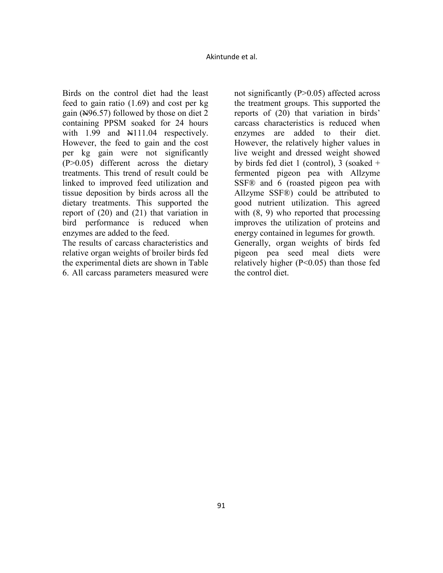Birds on the control diet had the least feed to gain ratio (1.69) and cost per kg gain ( $\angle$ 496.57) followed by those on diet 2 containing PPSM soaked for 24 hours with  $1.99$  and  $\text{N}111.04$  respectively. However, the feed to gain and the cost per kg gain were not significantly (P>0.05) different across the dietary treatments. This trend of result could be linked to improved feed utilization and tissue deposition by birds across all the dietary treatments. This supported the report of (20) and (21) that variation in bird performance is reduced when enzymes are added to the feed.

The results of carcass characteristics and relative organ weights of broiler birds fed the experimental diets are shown in Table 6. All carcass parameters measured were

not significantly (P>0.05) affected across the treatment groups. This supported the reports of (20) that variation in birds' carcass characteristics is reduced when enzymes are added to their diet. However, the relatively higher values in live weight and dressed weight showed by birds fed diet 1 (control), 3 (soaked  $+$ fermented pigeon pea with Allzyme SSF® and 6 (roasted pigeon pea with Allzyme SSF®) could be attributed to good nutrient utilization. This agreed with  $(8, 9)$  who reported that processing improves the utilization of proteins and energy contained in legumes for growth. Generally, organ weights of birds fed

pigeon pea seed meal diets were relatively higher (P<0.05) than those fed the control diet.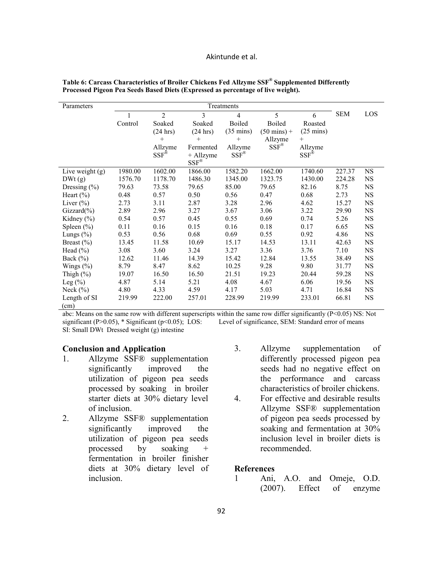| Parameters        | Treatments |                         |                          |                     |                       |                     |            |           |
|-------------------|------------|-------------------------|--------------------------|---------------------|-----------------------|---------------------|------------|-----------|
|                   |            | $\overline{2}$          | 3                        | 4                   | 5                     | 6                   | <b>SEM</b> | LOS       |
|                   | Control    | Soaked                  | Soaked                   | Boiled              | Boiled                | Roasted             |            |           |
|                   |            | (24 hrs)                | (24 hrs)                 | $(35 \text{ mins})$ | $(50 \text{ mins}) +$ | $(25 \text{ mins})$ |            |           |
|                   |            | $+$                     | $^{+}$                   | $\! +$              | Allzyme               | $+$                 |            |           |
|                   |            | Allzyme                 | Fermented                | Allzyme             | $SSF^{\circledR}$     | Allzyme             |            |           |
|                   |            | $SSF^{\tilde{\otimes}}$ | + Allzyme                | $SSF^{\circledR}$   |                       | $SSF^{\otimes}$     |            |           |
|                   |            |                         | $\text{SSF}^{\circledR}$ |                     |                       |                     |            |           |
| Live weight $(g)$ | 1980.00    | 1602.00                 | 1866.00                  | 1582.20             | 1662.00               | 1740.60             | 227.37     | <b>NS</b> |
| DWt(g)            | 1576.70    | 1178.70                 | 1486.30                  | 1345.00             | 1323.75               | 1430.00             | 224.28     | <b>NS</b> |
| Dressing $(\% )$  | 79.63      | 73.58                   | 79.65                    | 85.00               | 79.65                 | 82.16               | 8.75       | <b>NS</b> |
| Heart $(\%)$      | 0.48       | 0.57                    | 0.50                     | 0.56                | 0.47                  | 0.68                | 2.73       | <b>NS</b> |
| Liver $(\%)$      | 2.73       | 3.11                    | 2.87                     | 3.28                | 2.96                  | 4.62                | 15.27      | <b>NS</b> |
| $Gizzard(\% )$    | 2.89       | 2.96                    | 3.27                     | 3.67                | 3.06                  | 3.22                | 29.90      | <b>NS</b> |
| Kidney (%)        | 0.54       | 0.57                    | 0.45                     | 0.55                | 0.69                  | 0.74                | 5.26       | <b>NS</b> |
| Spleen $(\% )$    | 0.11       | 0.16                    | 0.15                     | 0.16                | 0.18                  | 0.17                | 6.65       | <b>NS</b> |
| Lungs $(\%)$      | 0.53       | 0.56                    | 0.68                     | 0.69                | 0.55                  | 0.92                | 4.86       | <b>NS</b> |
| Breast $(\% )$    | 13.45      | 11.58                   | 10.69                    | 15.17               | 14.53                 | 13.11               | 42.63      | <b>NS</b> |
| Head $(\% )$      | 3.08       | 3.60                    | 3.24                     | 3.27                | 3.36                  | 3.76                | 7.10       | <b>NS</b> |
| Back $(\%)$       | 12.62      | 11.46                   | 14.39                    | 15.42               | 12.84                 | 13.55               | 38.49      | NS        |
| Wings $(\%)$      | 8.79       | 8.47                    | 8.62                     | 10.25               | 9.28                  | 9.80                | 31.77      | <b>NS</b> |
| Thigh $(\%)$      | 19.07      | 16.50                   | 16.50                    | 21.51               | 19.23                 | 20.44               | 59.28      | <b>NS</b> |
| Leg $(\%)$        | 4.87       | 5.14                    | 5.21                     | 4.08                | 4.67                  | 6.06                | 19.56      | <b>NS</b> |
| Neck $(\% )$      | 4.80       | 4.33                    | 4.59                     | 4.17                | 5.03                  | 4.71                | 16.84      | <b>NS</b> |
| Length of SI      | 219.99     | 222.00                  | 257.01                   | 228.99              | 219.99                | 233.01              | 66.81      | <b>NS</b> |
| (cm)              |            |                         |                          |                     |                       |                     |            |           |

**Table 6: Carcass Characteristics of Broiler Chickens Fed Allzyme SSF® Supplemented Differently Processed Pigeon Pea Seeds Based Diets (Expressed as percentage of live weight).** 

abc: Means on the same row with different superscripts within the same row differ significantly (P<0.05) NS: Not significant (P>0.05), \* Significant (p<0.05); LOS: Level of significance, SEM: Standard error of means significant (P>0.05),  $*$  Significant (p<0.05); LOS: SI: Small DWt Dressed weight (g) intestine

#### **Conclusion and Application**

- 1. Allzyme SSF® supplementation significantly improved the utilization of pigeon pea seeds processed by soaking in broiler starter diets at 30% dietary level of inclusion.
- 2. Allzyme SSF® supplementation significantly improved the utilization of pigeon pea seeds processed by soaking + fermentation in broiler finisher diets at 30% dietary level of inclusion.
- 3. Allzyme supplementation of differently processed pigeon pea seeds had no negative effect on the performance and carcass characteristics of broiler chickens.
- 4. For effective and desirable results Allzyme SSF® supplementation of pigeon pea seeds processed by soaking and fermentation at 30% inclusion level in broiler diets is recommended.

#### **References**

1 Ani, A.O. and Omeje, O.D. (2007). Effect of enzyme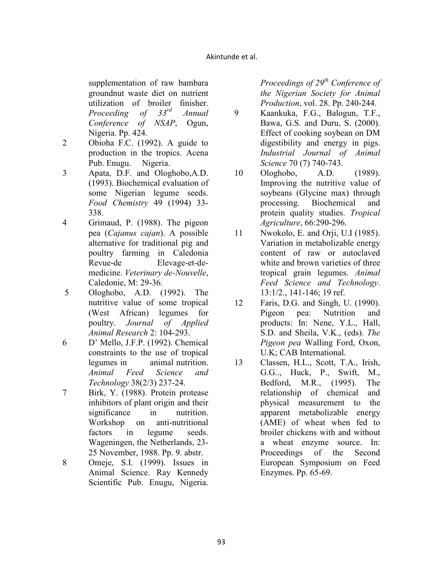supplementation of raw bambara groundnut waste diet on nutrient utilization of broiler finisher.<br>*Proceeding of*  $33^{rd}$  *Annual Proceeding of 33rd Annual Conference of SAP*, Ogun, Nigeria. Pp. 424.

- 2 Obioha F.C. (1992). A guide to production in the tropics. Acena Pub. Enugu. Nigeria.
- 3 Apata, D.F. and Ologhobo,A.D. (1993). Biochemical evaluation of some Nigerian legume seeds. *Food Chemistry* 49 (1994) 33- 338.
- 4 Grimaud, P. (1988). The pigeon pea (*Cajanus cajan*). A possible alternative for traditional pig and poultry farming in Caledonia Revue-de Elevage-et-demedicine. *Veterinary de-Nouvelle*, Caledonie, M: 29-36.
- 5 Ologhobo, A.D. (1992). The nutritive value of some tropical (West African) legumes for poultry. *Journal of Applied Animal Research* 2: 104-293.
- 6 D' Mello, J.F.P. (1992). Chemical constraints to the use of tropical legumes in animal nutrition. *Animal Feed Science and Technology* 38(2/3) 237-24.

7 Birk, Y. (1988). Protein protease inhibitors of plant origin and their significance in nutrition. Workshop on anti-nutritional factors in legume seeds. Wageningen, the Netherlands, 23- 25 November, 1988. Pp. 9. abstr.

8 Omeje, S.I. (1999). Issues in Animal Science. Ray Kennedy Scientific Pub. Enugu, Nigeria.

*Proceedings of 29th Conference of the Nigerian Society for Animal Production*, vol. 28. Pp. 240-244.

- 9 Kaankuka, F.G., Balogun, T.F., Bawa, G.S. and Duru, S. (2000). Effect of cooking soybean on DM digestibility and energy in pigs. *Industrial Journal of Animal Science* 70 (7) 740-743.
- 10 Ologhobo, A.D. (1989). Improving the nutritive value of soybeans (Glycine max) through processing. Biochemical and protein quality studies. *Tropical Agriculture*, 66:290-296.
- 11 Nwokolo, E. and Orji, U.I (1985). Variation in metabolizable energy content of raw or autoclaved white and brown varieties of three tropical grain legumes. *Animal Feed Science and Technology*. 13:1/2., 141-146; 19 ref.
- 12 Faris, D.G. and Singh, U. (1990). Pigeon pea: Nutrition and products: In: Nene, Y.L., Hall, S.D. and Sheila, V.K., (eds). *The Pigeon pea* Walling Ford, Oxon, U.K; CAB International.
- 13 Classen, H.L., Scott, T.A., Irish, G.G.., Huck, P., Swift, M., Bedford, M.R., (1995). The relationship of chemical and physical measurement to the apparent metabolizable energy (AME) of wheat when fed to broiler chickens with and without a wheat enzyme source. In: Proceedings of the Second European Symposium on Feed Enzymes. Pp. 65-69.